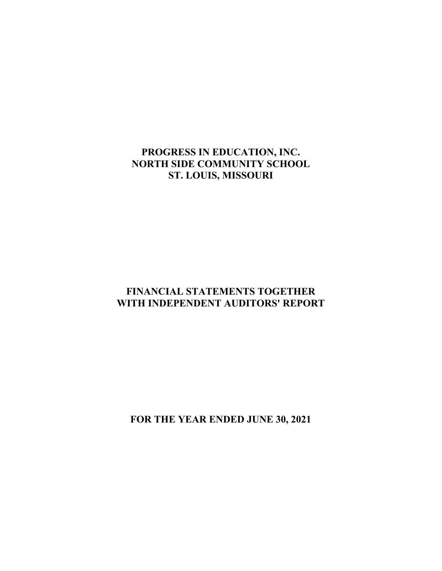# **PROGRESS IN EDUCATION, INC. NORTH SIDE COMMUNITY SCHOOL ST. LOUIS, MISSOURI**

# **FINANCIAL STATEMENTS TOGETHER WITH INDEPENDENT AUDITORS' REPORT**

**FOR THE YEAR ENDED JUNE 30, 2021**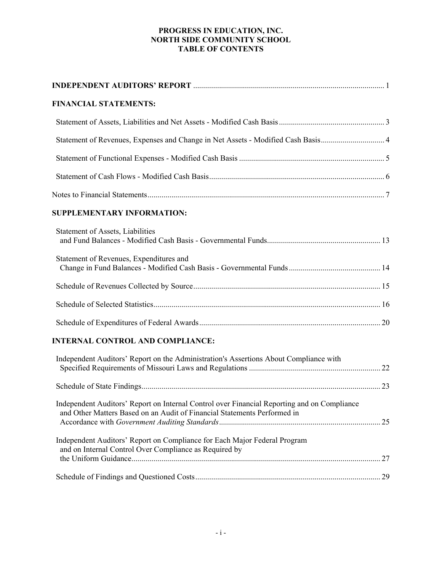# **PROGRESS IN EDUCATION, INC. NORTH SIDE COMMUNITY SCHOOL TABLE OF CONTENTS**

| <b>FINANCIAL STATEMENTS:</b>                                                                                                                                            |  |
|-------------------------------------------------------------------------------------------------------------------------------------------------------------------------|--|
|                                                                                                                                                                         |  |
| Statement of Revenues, Expenses and Change in Net Assets - Modified Cash Basis 4                                                                                        |  |
|                                                                                                                                                                         |  |
|                                                                                                                                                                         |  |
|                                                                                                                                                                         |  |
| <b>SUPPLEMENTARY INFORMATION:</b>                                                                                                                                       |  |
| <b>Statement of Assets, Liabilities</b>                                                                                                                                 |  |
| Statement of Revenues, Expenditures and                                                                                                                                 |  |
|                                                                                                                                                                         |  |
|                                                                                                                                                                         |  |
|                                                                                                                                                                         |  |
| <b>INTERNAL CONTROL AND COMPLIANCE:</b>                                                                                                                                 |  |
| Independent Auditors' Report on the Administration's Assertions About Compliance with                                                                                   |  |
|                                                                                                                                                                         |  |
| Independent Auditors' Report on Internal Control over Financial Reporting and on Compliance<br>and Other Matters Based on an Audit of Financial Statements Performed in |  |
| Independent Auditors' Report on Compliance for Each Major Federal Program<br>and on Internal Control Over Compliance as Required by                                     |  |
|                                                                                                                                                                         |  |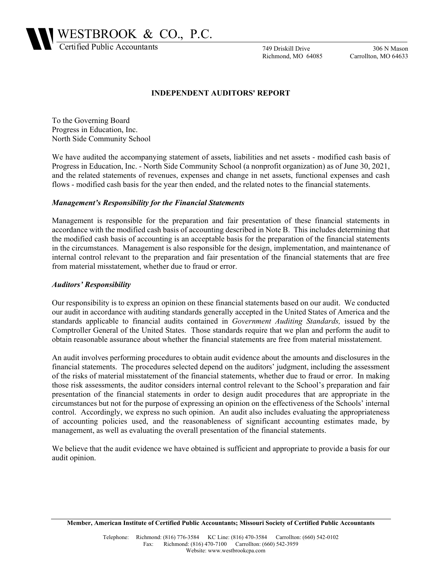WESTBROOK & CO., P.C.

Certified Public Accountants

749 Driskill Drive Richmond, MO 64085

306 N Mason Carrollton, MO 64633

### **INDEPENDENT AUDITORS' REPORT**

To the Governing Board Progress in Education, Inc. North Side Community School

We have audited the accompanying statement of assets, liabilities and net assets - modified cash basis of Progress in Education, Inc. - North Side Community School (a nonprofit organization) as of June 30, 2021, and the related statements of revenues, expenses and change in net assets, functional expenses and cash flows - modified cash basis for the year then ended, and the related notes to the financial statements.

### *Management's Responsibility for the Financial Statements*

Management is responsible for the preparation and fair presentation of these financial statements in accordance with the modified cash basis of accounting described in Note B. This includes determining that the modified cash basis of accounting is an acceptable basis for the preparation of the financial statements in the circumstances. Management is also responsible for the design, implementation, and maintenance of internal control relevant to the preparation and fair presentation of the financial statements that are free from material misstatement, whether due to fraud or error.

### *Auditors' Responsibility*

Our responsibility is to express an opinion on these financial statements based on our audit. We conducted our audit in accordance with auditing standards generally accepted in the United States of America and the standards applicable to financial audits contained in *Government Auditing Standards,* issued by the Comptroller General of the United States. Those standards require that we plan and perform the audit to obtain reasonable assurance about whether the financial statements are free from material misstatement.

An audit involves performing procedures to obtain audit evidence about the amounts and disclosures in the financial statements. The procedures selected depend on the auditors' judgment, including the assessment of the risks of material misstatement of the financial statements, whether due to fraud or error. In making those risk assessments, the auditor considers internal control relevant to the School's preparation and fair presentation of the financial statements in order to design audit procedures that are appropriate in the circumstances but not for the purpose of expressing an opinion on the effectiveness of the Schools' internal control. Accordingly, we express no such opinion. An audit also includes evaluating the appropriateness of accounting policies used, and the reasonableness of significant accounting estimates made, by management, as well as evaluating the overall presentation of the financial statements.

We believe that the audit evidence we have obtained is sufficient and appropriate to provide a basis for our audit opinion.

**Member, American Institute of Certified Public Accountants; Missouri Society of Certified Public Accountants**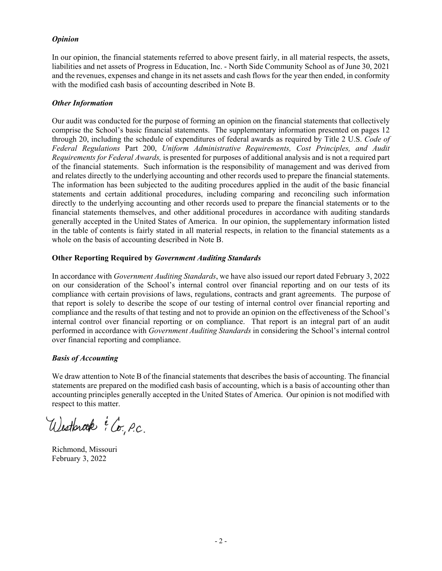### *Opinion*

In our opinion, the financial statements referred to above present fairly, in all material respects, the assets, liabilities and net assets of Progress in Education, Inc. - North Side Community School as of June 30, 2021 and the revenues, expenses and change in its net assets and cash flows for the year then ended, in conformity with the modified cash basis of accounting described in Note B.

### *Other Information*

Our audit was conducted for the purpose of forming an opinion on the financial statements that collectively comprise the School's basic financial statements. The supplementary information presented on pages 12 through 20, including the schedule of expenditures of federal awards as required by Title 2 U.S. *Code of Federal Regulations* Part 200, *Uniform Administrative Requirements, Cost Principles, and Audit Requirements for Federal Awards,* is presented for purposes of additional analysis and is not a required part of the financial statements. Such information is the responsibility of management and was derived from and relates directly to the underlying accounting and other records used to prepare the financial statements. The information has been subjected to the auditing procedures applied in the audit of the basic financial statements and certain additional procedures, including comparing and reconciling such information directly to the underlying accounting and other records used to prepare the financial statements or to the financial statements themselves, and other additional procedures in accordance with auditing standards generally accepted in the United States of America. In our opinion, the supplementary information listed in the table of contents is fairly stated in all material respects, in relation to the financial statements as a whole on the basis of accounting described in Note B.

# **Other Reporting Required by** *Government Auditing Standards*

In accordance with *Government Auditing Standards*, we have also issued our report dated February 3, 2022 on our consideration of the School's internal control over financial reporting and on our tests of its compliance with certain provisions of laws, regulations, contracts and grant agreements. The purpose of that report is solely to describe the scope of our testing of internal control over financial reporting and compliance and the results of that testing and not to provide an opinion on the effectiveness of the School's internal control over financial reporting or on compliance. That report is an integral part of an audit performed in accordance with *Government Auditing Standards* in considering the School's internal control over financial reporting and compliance.

# *Basis of Accounting*

We draw attention to Note B of the financial statements that describes the basis of accounting. The financial statements are prepared on the modified cash basis of accounting, which is a basis of accounting other than accounting principles generally accepted in the United States of America. Our opinion is not modified with respect to this matter.

Westbrook E Co. P.C.

Richmond, Missouri February 3, 2022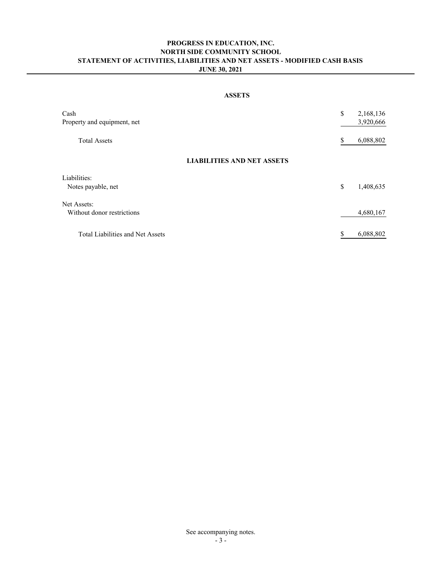### **PROGRESS IN EDUCATION, INC. NORTH SIDE COMMUNITY SCHOOL STATEMENT OF ACTIVITIES, LIABILITIES AND NET ASSETS - MODIFIED CASH BASIS JUNE 30, 2021**

### **ASSETS**

| Cash<br>Property and equipment, net | \$<br>2,168,136<br>3,920,666 |
|-------------------------------------|------------------------------|
| <b>Total Assets</b>                 | \$<br>6,088,802              |
| <b>LIABILITIES AND NET ASSETS</b>   |                              |
| Liabilities:                        |                              |
| Notes payable, net                  | \$<br>1,408,635              |
| Net Assets:                         |                              |
| Without donor restrictions          | 4,680,167                    |
| Total Liabilities and Net Assets    | \$<br>6,088,802              |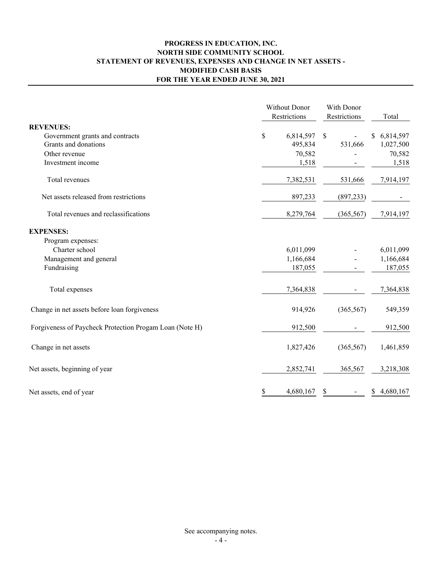# **PROGRESS IN EDUCATION, INC. NORTH SIDE COMMUNITY SCHOOL STATEMENT OF REVENUES, EXPENSES AND CHANGE IN NET ASSETS - MODIFIED CASH BASIS FOR THE YEAR ENDED JUNE 30, 2021**

|                                                         | Without Donor<br>Restrictions | With Donor<br>Restrictions | Total                     |  |                 |
|---------------------------------------------------------|-------------------------------|----------------------------|---------------------------|--|-----------------|
| <b>REVENUES:</b>                                        |                               |                            |                           |  |                 |
| Government grants and contracts                         | \$                            | 6,814,597                  | $\boldsymbol{\mathsf{S}}$ |  | 6,814,597<br>\$ |
| Grants and donations                                    |                               | 495,834                    | 531,666                   |  | 1,027,500       |
| Other revenue                                           |                               | 70,582                     |                           |  | 70,582          |
| Investment income                                       |                               | 1,518                      |                           |  | 1,518           |
| Total revenues                                          |                               | 7,382,531                  | 531,666                   |  | 7,914,197       |
| Net assets released from restrictions                   |                               | 897,233                    | (897, 233)                |  |                 |
| Total revenues and reclassifications                    |                               | 8,279,764                  | (365, 567)                |  | 7,914,197       |
| <b>EXPENSES:</b>                                        |                               |                            |                           |  |                 |
| Program expenses:                                       |                               |                            |                           |  |                 |
| Charter school                                          |                               | 6,011,099                  |                           |  | 6,011,099       |
| Management and general                                  |                               | 1,166,684                  |                           |  | 1,166,684       |
| Fundraising                                             |                               | 187,055                    |                           |  | 187,055         |
| Total expenses                                          |                               | 7,364,838                  |                           |  | 7,364,838       |
| Change in net assets before loan forgiveness            |                               | 914,926                    | (365, 567)                |  | 549,359         |
| Forgiveness of Paycheck Protection Progam Loan (Note H) |                               | 912,500                    |                           |  | 912,500         |
| Change in net assets                                    |                               | 1,827,426                  | (365, 567)                |  | 1,461,859       |
| Net assets, beginning of year                           |                               | 2,852,741                  | 365,567                   |  | 3,218,308       |
| Net assets, end of year                                 | \$                            | 4,680,167                  | \$                        |  | 4,680,167<br>\$ |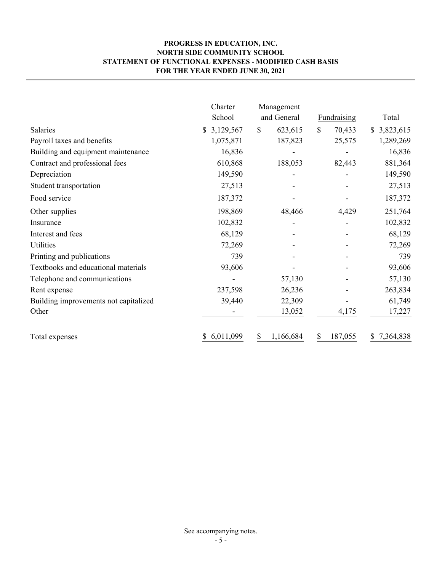# **PROGRESS IN EDUCATION, INC. NORTH SIDE COMMUNITY SCHOOL STATEMENT OF FUNCTIONAL EXPENSES - MODIFIED CASH BASIS FOR THE YEAR ENDED JUNE 30, 2021**

|                                       | Charter<br>School | Management<br>and General<br><b>Fundraising</b> |               | Total           |  |
|---------------------------------------|-------------------|-------------------------------------------------|---------------|-----------------|--|
| Salaries                              | \$3,129,567       | $\mathbb{S}$<br>623,615                         | \$<br>70,433  | 3,823,615<br>S. |  |
| Payroll taxes and benefits            | 1,075,871         | 187,823                                         | 25,575        | 1,289,269       |  |
| Building and equipment maintenance    | 16,836            |                                                 |               | 16,836          |  |
| Contract and professional fees        | 610,868           | 188,053                                         | 82,443        | 881,364         |  |
| Depreciation                          | 149,590           |                                                 |               | 149,590         |  |
| Student transportation                | 27,513            |                                                 |               | 27,513          |  |
| Food service                          | 187,372           |                                                 |               | 187,372         |  |
| Other supplies                        | 198,869           | 48,466                                          | 4,429         | 251,764         |  |
| Insurance                             | 102,832           |                                                 |               | 102,832         |  |
| Interest and fees                     | 68,129            |                                                 |               | 68,129          |  |
| Utilities                             | 72,269            |                                                 |               | 72,269          |  |
| Printing and publications             | 739               |                                                 |               | 739             |  |
| Textbooks and educational materials   | 93,606            |                                                 |               | 93,606          |  |
| Telephone and communications          |                   | 57,130                                          |               | 57,130          |  |
| Rent expense                          | 237,598           | 26,236                                          |               | 263,834         |  |
| Building improvements not capitalized | 39,440            | 22,309                                          |               | 61,749          |  |
| Other                                 |                   | 13,052                                          | 4,175         | 17,227          |  |
| Total expenses                        | 6,011,099         | 1,166,684<br>S                                  | \$<br>187,055 | 7,364,838<br>S  |  |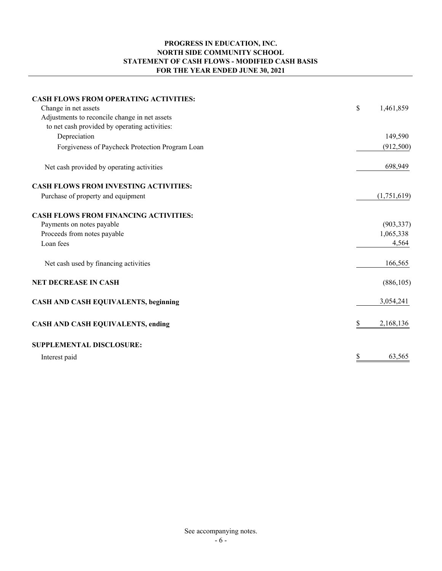# **PROGRESS IN EDUCATION, INC. NORTH SIDE COMMUNITY SCHOOL STATEMENT OF CASH FLOWS - MODIFIED CASH BASIS FOR THE YEAR ENDED JUNE 30, 2021**

| <b>CASH FLOWS FROM OPERATING ACTIVITIES:</b><br>Change in net assets<br>Adjustments to reconcile change in net assets<br>to net cash provided by operating activities: | \$<br>1,461,859 |
|------------------------------------------------------------------------------------------------------------------------------------------------------------------------|-----------------|
| Depreciation                                                                                                                                                           | 149,590         |
| Forgiveness of Paycheck Protection Program Loan                                                                                                                        | (912,500)       |
| Net cash provided by operating activities                                                                                                                              | 698,949         |
| <b>CASH FLOWS FROM INVESTING ACTIVITIES:</b>                                                                                                                           |                 |
| Purchase of property and equipment                                                                                                                                     | (1,751,619)     |
| <b>CASH FLOWS FROM FINANCING ACTIVITIES:</b>                                                                                                                           |                 |
| Payments on notes payable                                                                                                                                              | (903, 337)      |
| Proceeds from notes payable                                                                                                                                            | 1,065,338       |
| Loan fees                                                                                                                                                              | 4,564           |
| Net cash used by financing activities                                                                                                                                  | 166,565         |
| <b>NET DECREASE IN CASH</b>                                                                                                                                            | (886, 105)      |
| <b>CASH AND CASH EQUIVALENTS, beginning</b>                                                                                                                            | 3,054,241       |
| <b>CASH AND CASH EQUIVALENTS, ending</b>                                                                                                                               | 2,168,136<br>\$ |
| <b>SUPPLEMENTAL DISCLOSURE:</b>                                                                                                                                        |                 |
| Interest paid                                                                                                                                                          | \$<br>63,565    |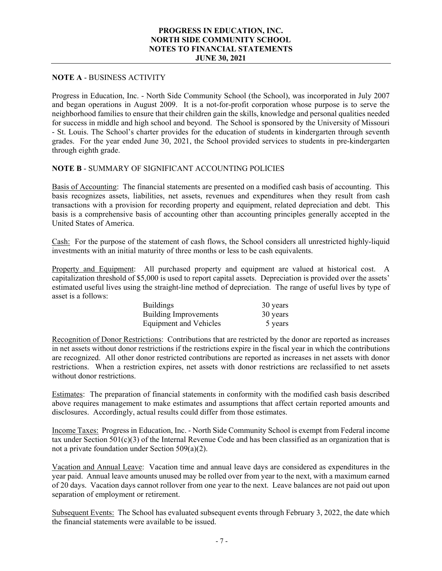### **PROGRESS IN EDUCATION, INC. NORTH SIDE COMMUNITY SCHOOL NOTES TO FINANCIAL STATEMENTS JUNE 30, 2021**

# **NOTE A** - BUSINESS ACTIVITY

Progress in Education, Inc. - North Side Community School (the School), was incorporated in July 2007 and began operations in August 2009. It is a not-for-profit corporation whose purpose is to serve the neighborhood families to ensure that their children gain the skills, knowledge and personal qualities needed for success in middle and high school and beyond. The School is sponsored by the University of Missouri - St. Louis. The School's charter provides for the education of students in kindergarten through seventh grades. For the year ended June 30, 2021, the School provided services to students in pre-kindergarten through eighth grade.

# **NOTE B** - SUMMARY OF SIGNIFICANT ACCOUNTING POLICIES

Basis of Accounting: The financial statements are presented on a modified cash basis of accounting. This basis recognizes assets, liabilities, net assets, revenues and expenditures when they result from cash transactions with a provision for recording property and equipment, related depreciation and debt. This basis is a comprehensive basis of accounting other than accounting principles generally accepted in the United States of America.

Cash: For the purpose of the statement of cash flows, the School considers all unrestricted highly-liquid investments with an initial maturity of three months or less to be cash equivalents.

Property and Equipment: All purchased property and equipment are valued at historical cost. A capitalization threshold of \$5,000 is used to report capital assets. Depreciation is provided over the assets' estimated useful lives using the straight-line method of depreciation. The range of useful lives by type of asset is a follows:

| <b>Buildings</b>       | 30 years |
|------------------------|----------|
| Building Improvements  | 30 years |
| Equipment and Vehicles | 5 years  |

Recognition of Donor Restrictions: Contributions that are restricted by the donor are reported as increases in net assets without donor restrictions if the restrictions expire in the fiscal year in which the contributions are recognized. All other donor restricted contributions are reported as increases in net assets with donor restrictions. When a restriction expires, net assets with donor restrictions are reclassified to net assets without donor restrictions.

Estimates: The preparation of financial statements in conformity with the modified cash basis described above requires management to make estimates and assumptions that affect certain reported amounts and disclosures. Accordingly, actual results could differ from those estimates.

Income Taxes: Progress in Education, Inc. - North Side Community School is exempt from Federal income tax under Section 501(c)(3) of the Internal Revenue Code and has been classified as an organization that is not a private foundation under Section 509(a)(2).

Vacation and Annual Leave: Vacation time and annual leave days are considered as expenditures in the year paid. Annual leave amounts unused may be rolled over from year to the next, with a maximum earned of 20 days. Vacation days cannot rollover from one year to the next. Leave balances are not paid out upon separation of employment or retirement.

Subsequent Events: The School has evaluated subsequent events through February 3, 2022, the date which the financial statements were available to be issued.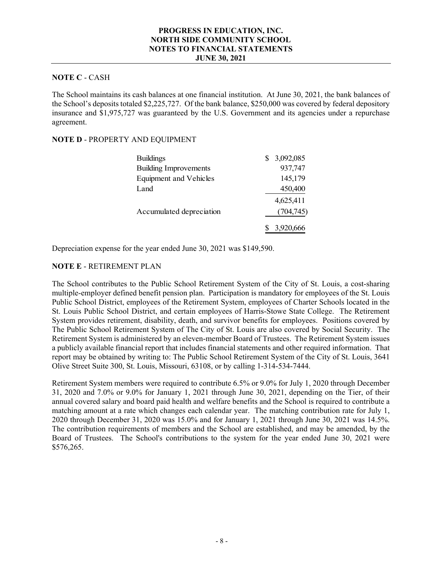### **PROGRESS IN EDUCATION, INC. NORTH SIDE COMMUNITY SCHOOL NOTES TO FINANCIAL STATEMENTS JUNE 30, 2021**

# **NOTE C** - CASH

The School maintains its cash balances at one financial institution. At June 30, 2021, the bank balances of the School's deposits totaled \$2,225,727. Of the bank balance, \$250,000 was covered by federal depository insurance and \$1,975,727 was guaranteed by the U.S. Government and its agencies under a repurchase agreement.

### **NOTE D** - PROPERTY AND EQUIPMENT

| <b>Buildings</b>              | 3,092,085 |
|-------------------------------|-----------|
| <b>Building Improvements</b>  | 937,747   |
| <b>Equipment and Vehicles</b> | 145,179   |
| Land                          | 450,400   |
|                               | 4,625,411 |
| Accumulated depreciation      | (704,745) |
|                               | 3,920,666 |

Depreciation expense for the year ended June 30, 2021 was \$149,590.

### **NOTE E** - RETIREMENT PLAN

The School contributes to the Public School Retirement System of the City of St. Louis, a cost-sharing multiple-employer defined benefit pension plan. Participation is mandatory for employees of the St. Louis Public School District, employees of the Retirement System, employees of Charter Schools located in the St. Louis Public School District, and certain employees of Harris-Stowe State College. The Retirement System provides retirement, disability, death, and survivor benefits for employees. Positions covered by The Public School Retirement System of The City of St. Louis are also covered by Social Security. The Retirement System is administered by an eleven-member Board of Trustees. The Retirement System issues a publicly available financial report that includes financial statements and other required information. That report may be obtained by writing to: The Public School Retirement System of the City of St. Louis, 3641 Olive Street Suite 300, St. Louis, Missouri, 63108, or by calling 1-314-534-7444.

Retirement System members were required to contribute 6.5% or 9.0% for July 1, 2020 through December 31, 2020 and 7.0% or 9.0% for January 1, 2021 through June 30, 2021, depending on the Tier, of their annual covered salary and board paid health and welfare benefits and the School is required to contribute a matching amount at a rate which changes each calendar year. The matching contribution rate for July 1, 2020 through December 31, 2020 was 15.0% and for January 1, 2021 through June 30, 2021 was 14.5%. The contribution requirements of members and the School are established, and may be amended, by the Board of Trustees. The School's contributions to the system for the year ended June 30, 2021 were \$576,265.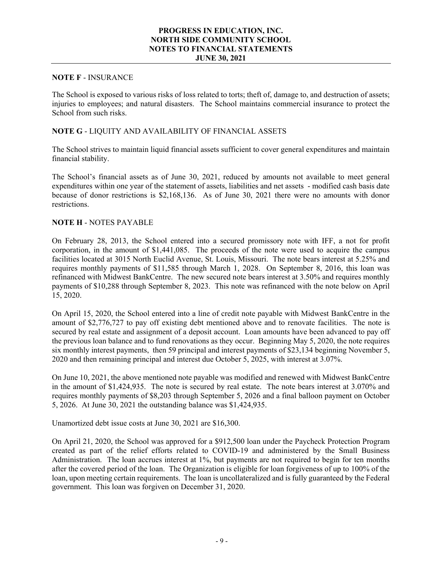### **PROGRESS IN EDUCATION, INC. NORTH SIDE COMMUNITY SCHOOL NOTES TO FINANCIAL STATEMENTS JUNE 30, 2021**

### **NOTE F** - INSURANCE

The School is exposed to various risks of loss related to torts; theft of, damage to, and destruction of assets; injuries to employees; and natural disasters. The School maintains commercial insurance to protect the School from such risks.

### **NOTE G** - LIQUITY AND AVAILABILITY OF FINANCIAL ASSETS

The School strives to maintain liquid financial assets sufficient to cover general expenditures and maintain financial stability.

The School's financial assets as of June 30, 2021, reduced by amounts not available to meet general expenditures within one year of the statement of assets, liabilities and net assets - modified cash basis date because of donor restrictions is \$2,168,136. As of June 30, 2021 there were no amounts with donor restrictions.

### **NOTE H** - NOTES PAYABLE

On February 28, 2013, the School entered into a secured promissory note with IFF, a not for profit corporation, in the amount of \$1,441,085. The proceeds of the note were used to acquire the campus facilities located at 3015 North Euclid Avenue, St. Louis, Missouri. The note bears interest at 5.25% and requires monthly payments of \$11,585 through March 1, 2028. On September 8, 2016, this loan was refinanced with Midwest BankCentre. The new secured note bears interest at 3.50% and requires monthly payments of \$10,288 through September 8, 2023. This note was refinanced with the note below on April 15, 2020.

On April 15, 2020, the School entered into a line of credit note payable with Midwest BankCentre in the amount of \$2,776,727 to pay off existing debt mentioned above and to renovate facilities. The note is secured by real estate and assignment of a deposit account. Loan amounts have been advanced to pay off the previous loan balance and to fund renovations as they occur. Beginning May 5, 2020, the note requires six monthly interest payments, then 59 principal and interest payments of \$23,134 beginning November 5, 2020 and then remaining principal and interest due October 5, 2025, with interest at 3.07%.

On June 10, 2021, the above mentioned note payable was modified and renewed with Midwest BankCentre in the amount of \$1,424,935. The note is secured by real estate. The note bears interest at 3.070% and requires monthly payments of \$8,203 through September 5, 2026 and a final balloon payment on October 5, 2026. At June 30, 2021 the outstanding balance was \$1,424,935.

Unamortized debt issue costs at June 30, 2021 are \$16,300.

On April 21, 2020, the School was approved for a \$912,500 loan under the Paycheck Protection Program created as part of the relief efforts related to COVID-19 and administered by the Small Business Administration. The loan accrues interest at 1%, but payments are not required to begin for ten months after the covered period of the loan. The Organization is eligible for loan forgiveness of up to 100% of the loan, upon meeting certain requirements. The loan is uncollateralized and is fully guaranteed by the Federal government. This loan was forgiven on December 31, 2020.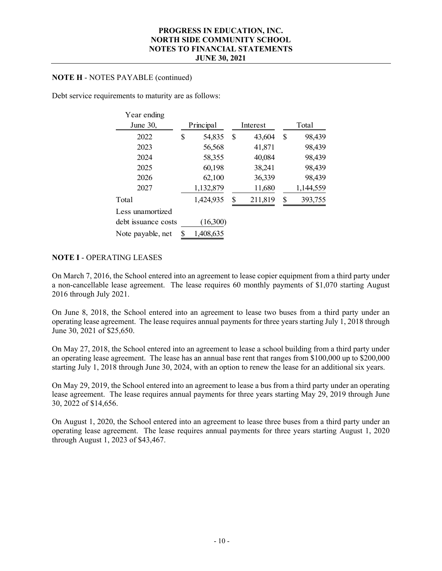### **NOTE H** - NOTES PAYABLE (continued)

Debt service requirements to maturity are as follows:

| Year ending         |           |           |               |               |
|---------------------|-----------|-----------|---------------|---------------|
| June 30,            | Principal |           | Interest      | Total         |
| 2022                | \$        | 54,835    | \$<br>43,604  | \$<br>98,439  |
| 2023                |           | 56,568    | 41,871        | 98,439        |
| 2024                |           | 58,355    | 40,084        | 98,439        |
| 2025                |           | 60,198    | 38,241        | 98,439        |
| 2026                |           | 62,100    | 36,339        | 98,439        |
| 2027                |           | 1,132,879 | 11,680        | 1,144,559     |
| Total               |           | 1,424,935 | \$<br>211,819 | \$<br>393,755 |
| Less unamortized    |           |           |               |               |
| debt issuance costs |           | (16,300)  |               |               |
| Note payable, net   | \$        | 1,408,635 |               |               |

# **NOTE I** - OPERATING LEASES

On March 7, 2016, the School entered into an agreement to lease copier equipment from a third party under a non-cancellable lease agreement. The lease requires 60 monthly payments of \$1,070 starting August 2016 through July 2021.

On June 8, 2018, the School entered into an agreement to lease two buses from a third party under an operating lease agreement. The lease requires annual payments for three years starting July  $\hat{1}$ , 2018 through June 30, 2021 of \$25,650.

On May 27, 2018, the School entered into an agreement to lease a school building from a third party under an operating lease agreement. The lease has an annual base rent that ranges from \$100,000 up to \$200,000 starting July 1, 2018 through June 30, 2024, with an option to renew the lease for an additional six years.

On May 29, 2019, the School entered into an agreement to lease a bus from a third party under an operating lease agreement. The lease requires annual payments for three years starting May 29, 2019 through June 30, 2022 of \$14,656.

On August 1, 2020, the School entered into an agreement to lease three buses from a third party under an operating lease agreement. The lease requires annual payments for three years starting August 1, 2020 through August 1, 2023 of \$43,467.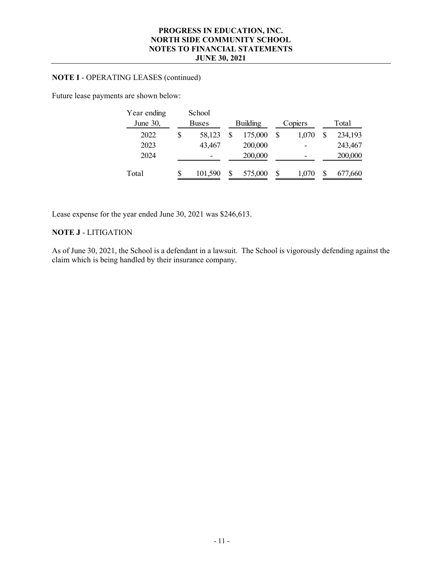# **NOTE I** - OPERATING LEASES (continued)

Future lease payments are shown below:

| Year ending | School       |                 |    |         |         |
|-------------|--------------|-----------------|----|---------|---------|
| June 30,    | <b>Buses</b> | <b>Building</b> |    | Copiers | Total   |
| 2022        | \$<br>58,123 | 175,000         | \$ | 1.070   | 234,193 |
| 2023        | 43,467       | 200,000         |    |         | 243,467 |
| 2024        | -            | 200,000         |    |         | 200,000 |
| Total       | 101,590      | 575,000         | S  | 1.070   | 677,660 |

Lease expense for the year ended June 30, 2021 was \$246,613.

# **NOTE J** - LITIGATION

As of June 30, 2021, the School is a defendant in a lawsuit. The School is vigorously defending against the claim which is being handled by their insurance company.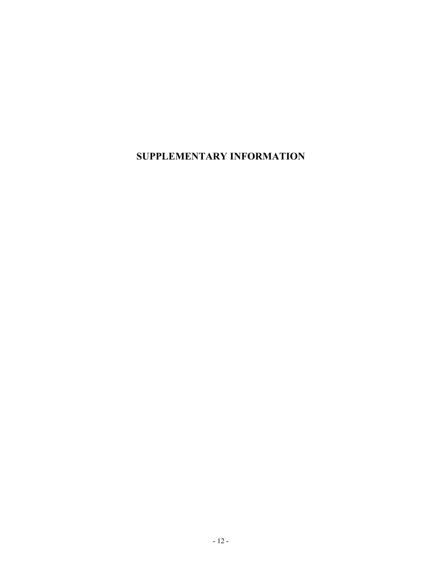**SUPPLEMENTARY INFORMATION**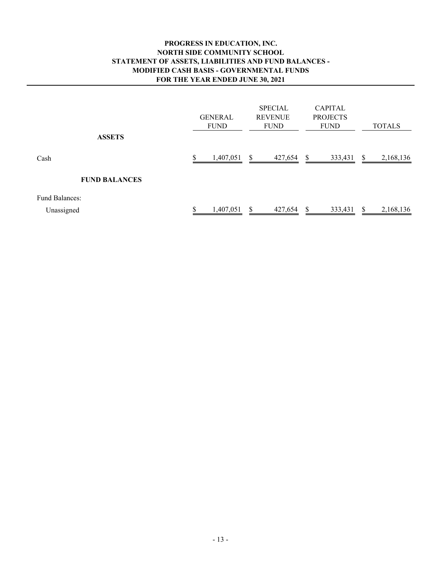# **PROGRESS IN EDUCATION, INC. NORTH SIDE COMMUNITY SCHOOL STATEMENT OF ASSETS, LIABILITIES AND FUND BALANCES - MODIFIED CASH BASIS - GOVERNMENTAL FUNDS FOR THE YEAR ENDED JUNE 30, 2021**

| <b>ASSETS</b>        | <b>GENERAL</b><br><b>FUND</b> | <b>SPECIAL</b><br><b>REVENUE</b><br><b>FUND</b> | <b>CAPITAL</b><br><b>PROJECTS</b><br><b>FUND</b> | <b>TOTALS</b>    |
|----------------------|-------------------------------|-------------------------------------------------|--------------------------------------------------|------------------|
| Cash                 | 1,407,051                     | \$<br>427,654                                   | \$<br>333,431                                    | \$<br>2,168,136  |
| <b>FUND BALANCES</b> |                               |                                                 |                                                  |                  |
| Fund Balances:       |                               |                                                 |                                                  |                  |
| Unassigned           | 1,407,051                     | 427,654<br>S                                    | 333,431<br>\$.                                   | 2,168,136<br>\$. |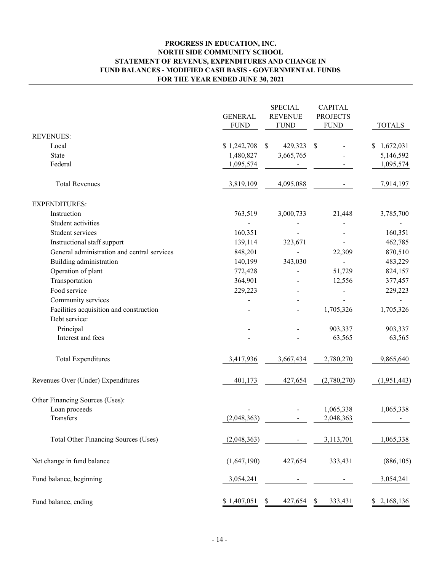# **PROGRESS IN EDUCATION, INC. NORTH SIDE COMMUNITY SCHOOL STATEMENT OF REVENUS, EXPENDITURES AND CHANGE IN FUND BALANCES - MODIFIED CASH BASIS - GOVERNMENTAL FUNDS FOR THE YEAR ENDED JUNE 30, 2021**

|                                                          | <b>GENERAL</b><br><b>FUND</b> | <b>SPECIAL</b><br><b>REVENUE</b><br><b>FUND</b> | <b>CAPITAL</b><br><b>PROJECTS</b><br><b>FUND</b> | <b>TOTALS</b>     |
|----------------------------------------------------------|-------------------------------|-------------------------------------------------|--------------------------------------------------|-------------------|
| <b>REVENUES:</b>                                         |                               |                                                 |                                                  |                   |
| Local                                                    | \$1,242,708                   | 429,323<br>\$                                   | -S                                               | 1,672,031<br>\$   |
| <b>State</b>                                             | 1,480,827                     | 3,665,765                                       |                                                  | 5,146,592         |
| Federal                                                  | 1,095,574                     |                                                 |                                                  | 1,095,574         |
| <b>Total Revenues</b>                                    | 3,819,109                     | 4,095,088                                       |                                                  | 7,914,197         |
| <b>EXPENDITURES:</b>                                     |                               |                                                 |                                                  |                   |
| Instruction                                              | 763,519                       | 3,000,733                                       | 21,448                                           | 3,785,700         |
| Student activities                                       |                               |                                                 |                                                  |                   |
| Student services                                         | 160,351                       |                                                 |                                                  | 160,351           |
| Instructional staff support                              | 139,114                       | 323,671                                         |                                                  | 462,785           |
| General administration and central services              | 848,201                       |                                                 | 22,309                                           | 870,510           |
| Building administration                                  | 140,199                       | 343,030                                         |                                                  | 483,229           |
| Operation of plant                                       | 772,428                       |                                                 | 51,729                                           | 824,157           |
| Transportation                                           | 364,901                       |                                                 | 12,556                                           | 377,457           |
| Food service                                             | 229,223                       |                                                 |                                                  | 229,223           |
| Community services                                       |                               |                                                 |                                                  |                   |
| Facilities acquisition and construction<br>Debt service: |                               |                                                 | 1,705,326                                        | 1,705,326         |
|                                                          |                               |                                                 |                                                  |                   |
| Principal<br>Interest and fees                           |                               |                                                 | 903,337<br>63,565                                | 903,337<br>63,565 |
|                                                          |                               |                                                 |                                                  |                   |
| <b>Total Expenditures</b>                                | 3,417,936                     | 3,667,434                                       | 2,780,270                                        | 9,865,640         |
| Revenues Over (Under) Expenditures                       | 401,173                       | 427,654                                         | (2,780,270)                                      | (1,951,443)       |
| Other Financing Sources (Uses):                          |                               |                                                 |                                                  |                   |
| Loan proceeds                                            |                               |                                                 | 1,065,338                                        | 1,065,338         |
| Transfers                                                | (2,048,363)                   |                                                 | 2,048,363                                        |                   |
| Total Other Financing Sources (Uses)                     | (2,048,363)                   |                                                 | 3,113,701                                        | 1,065,338         |
| Net change in fund balance                               | (1,647,190)                   | 427,654                                         | 333,431                                          | (886, 105)        |
| Fund balance, beginning                                  | 3,054,241                     |                                                 |                                                  | 3,054,241         |
| Fund balance, ending                                     | \$1,407,051                   | \$<br>427,654                                   | \$<br>333,431                                    | 2,168,136<br>\$   |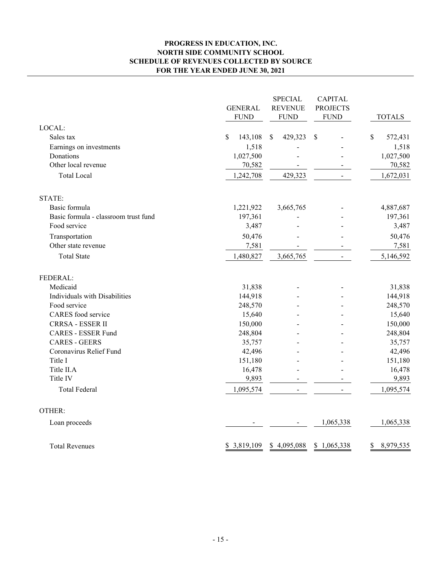### **PROGRESS IN EDUCATION, INC. NORTH SIDE COMMUNITY SCHOOL SCHEDULE OF REVENUES COLLECTED BY SOURCE FOR THE YEAR ENDED JUNE 30, 2021**

|                                      | <b>GENERAL</b><br><b>FUND</b> | <b>SPECIAL</b><br><b>REVENUE</b><br><b>FUND</b> | <b>CAPITAL</b><br><b>PROJECTS</b><br><b>FUND</b> | <b>TOTALS</b>   |
|--------------------------------------|-------------------------------|-------------------------------------------------|--------------------------------------------------|-----------------|
| LOCAL:                               |                               |                                                 |                                                  |                 |
| Sales tax                            | \$<br>143,108                 | 429,323<br>$\mathbb{S}$                         | \$                                               | \$<br>572,431   |
| Earnings on investments              | 1,518                         |                                                 |                                                  | 1,518           |
| Donations                            | 1,027,500                     |                                                 |                                                  | 1,027,500       |
| Other local revenue                  | 70,582                        |                                                 |                                                  | 70,582          |
| <b>Total Local</b>                   | 1,242,708                     | 429,323                                         |                                                  | 1,672,031       |
| STATE:                               |                               |                                                 |                                                  |                 |
| Basic formula                        | 1,221,922                     | 3,665,765                                       |                                                  | 4,887,687       |
| Basic formula - classroom trust fund | 197,361                       |                                                 |                                                  | 197,361         |
| Food service                         | 3,487                         |                                                 |                                                  | 3,487           |
| Transportation                       | 50,476                        |                                                 |                                                  | 50,476          |
| Other state revenue                  | 7,581                         |                                                 |                                                  | 7,581           |
| <b>Total State</b>                   | 1,480,827                     | 3,665,765                                       |                                                  | 5,146,592       |
| FEDERAL:                             |                               |                                                 |                                                  |                 |
| Medicaid                             | 31,838                        |                                                 |                                                  | 31,838          |
| Individuals with Disabilities        | 144,918                       |                                                 |                                                  | 144,918         |
| Food service                         | 248,570                       |                                                 |                                                  | 248,570         |
| CARES food service                   | 15,640                        |                                                 |                                                  | 15,640          |
| <b>CRRSA - ESSER II</b>              | 150,000                       |                                                 |                                                  | 150,000         |
| <b>CARES - ESSER Fund</b>            | 248,804                       |                                                 |                                                  | 248,804         |
| <b>CARES - GEERS</b>                 | 35,757                        |                                                 |                                                  | 35,757          |
| Coronavirus Relief Fund              | 42,496                        |                                                 |                                                  | 42,496          |
| Title I                              | 151,180                       |                                                 |                                                  | 151,180         |
| Title II.A                           | 16,478                        |                                                 |                                                  | 16,478          |
| Title IV                             | 9,893                         |                                                 |                                                  | 9,893           |
| <b>Total Federal</b>                 | 1,095,574                     | $\overline{a}$                                  |                                                  | 1,095,574       |
| OTHER:                               |                               |                                                 |                                                  |                 |
| Loan proceeds                        |                               |                                                 | 1,065,338                                        | 1,065,338       |
| <b>Total Revenues</b>                | \$3,819,109                   | \$4,095,088                                     | \$1,065,338                                      | \$<br>8,979,535 |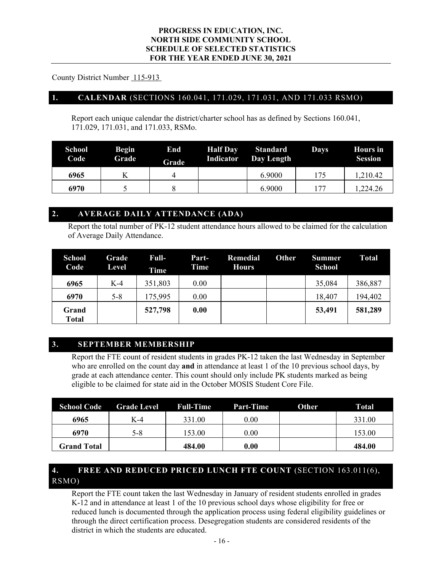County District Number 115-913

# **1. CALENDAR** (SECTIONS 160.041, 171.029, 171.031, AND 171.033 RSMO)

Report each unique calendar the district/charter school has as defined by Sections 160.041, 171.029, 171.031, and 171.033, RSMo.

| <b>School</b><br>Code | <b>Begin</b><br>Grade | End<br>Grade | <b>Half Day</b><br>Indicator | <b>Standard</b><br>Day Length | <b>Days</b> | <b>Hours</b> in<br><b>Session</b> |
|-----------------------|-----------------------|--------------|------------------------------|-------------------------------|-------------|-----------------------------------|
| 6965                  |                       |              |                              | 6.9000                        | 175         | 1,210.42                          |
| 6970                  |                       |              |                              | 6.9000                        |             | 1,224.26                          |

# **2. AVERAGE DAILY ATTENDANCE (ADA)**

Report the total number of PK-12 student attendance hours allowed to be claimed for the calculation of Average Daily Attendance.

| <b>School</b><br>Code | Grade<br>Level | Full-<br><b>Time</b> | Part-<br>Time | <b>Remedial</b><br><b>Hours</b> | <b>Other</b> | <b>Summer</b><br><b>School</b> | Total   |
|-----------------------|----------------|----------------------|---------------|---------------------------------|--------------|--------------------------------|---------|
| 6965                  | $K-4$          | 351,803              | 0.00          |                                 |              | 35,084                         | 386,887 |
| 6970                  | $5 - 8$        | 175,995              | 0.00          |                                 |              | 18,407                         | 194,402 |
| Grand<br>Total        |                | 527,798              | 0.00          |                                 |              | 53,491                         | 581,289 |

# **3. SEPTEMBER MEMBERSHIP**

Report the FTE count of resident students in grades PK-12 taken the last Wednesday in September who are enrolled on the count day **and** in attendance at least 1 of the 10 previous school days, by grade at each attendance center. This count should only include PK students marked as being eligible to be claimed for state aid in the October MOSIS Student Core File.

| <b>School Code</b> | <b>Grade Level</b> | <b>Full-Time</b> | Part-Time | <b>Other</b> | Total  |
|--------------------|--------------------|------------------|-----------|--------------|--------|
| 6965               | $K-4$              | 331.00           | $0.00\,$  |              | 331.00 |
| 6970               | 5-8                | 153.00           | $0.00\,$  |              | 153.00 |
| <b>Grand Total</b> |                    | 484.00           | 0.00      |              | 484.00 |

# **4. FREE AND REDUCED PRICED LUNCH FTE COUNT** (SECTION 163.011(6), RSMO)

Report the FTE count taken the last Wednesday in January of resident students enrolled in grades K-12 and in attendance at least 1 of the 10 previous school days whose eligibility for free or reduced lunch is documented through the application process using federal eligibility guidelines or through the direct certification process. Desegregation students are considered residents of the district in which the students are educated.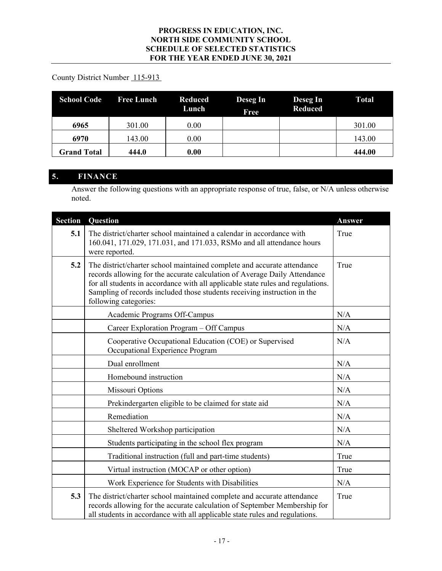# County District Number 115-913

| <b>School Code</b> | <b>Free Lunch</b> | <b>Reduced</b><br>Lunch | Deseg In<br>Free | Deseg In<br><b>Reduced</b> | Total  |
|--------------------|-------------------|-------------------------|------------------|----------------------------|--------|
| 6965               | 301.00            | 0.00                    |                  |                            | 301.00 |
| 6970               | 143.00            | 0.00                    |                  |                            | 143.00 |
| <b>Grand Total</b> | 444.0             | 0.00                    |                  |                            | 444.00 |

# **5. FINANCE**

Answer the following questions with an appropriate response of true, false, or N/A unless otherwise noted.

| <b>Section</b> | <b>Question</b>                                                                                                                                                                                                                                                                                                                              | Answer |
|----------------|----------------------------------------------------------------------------------------------------------------------------------------------------------------------------------------------------------------------------------------------------------------------------------------------------------------------------------------------|--------|
| 5.1            | The district/charter school maintained a calendar in accordance with<br>160.041, 171.029, 171.031, and 171.033, RSMo and all attendance hours<br>were reported.                                                                                                                                                                              | True   |
| 5.2            | The district/charter school maintained complete and accurate attendance<br>records allowing for the accurate calculation of Average Daily Attendance<br>for all students in accordance with all applicable state rules and regulations.<br>Sampling of records included those students receiving instruction in the<br>following categories: | True   |
|                | Academic Programs Off-Campus                                                                                                                                                                                                                                                                                                                 | N/A    |
|                | Career Exploration Program - Off Campus                                                                                                                                                                                                                                                                                                      | N/A    |
|                | Cooperative Occupational Education (COE) or Supervised<br>Occupational Experience Program                                                                                                                                                                                                                                                    | N/A    |
|                | Dual enrollment                                                                                                                                                                                                                                                                                                                              | N/A    |
|                | Homebound instruction                                                                                                                                                                                                                                                                                                                        | N/A    |
|                | Missouri Options                                                                                                                                                                                                                                                                                                                             | N/A    |
|                | Prekindergarten eligible to be claimed for state aid                                                                                                                                                                                                                                                                                         | N/A    |
|                | Remediation                                                                                                                                                                                                                                                                                                                                  | N/A    |
|                | Sheltered Workshop participation                                                                                                                                                                                                                                                                                                             | N/A    |
|                | Students participating in the school flex program                                                                                                                                                                                                                                                                                            | N/A    |
|                | Traditional instruction (full and part-time students)                                                                                                                                                                                                                                                                                        | True   |
|                | Virtual instruction (MOCAP or other option)                                                                                                                                                                                                                                                                                                  | True   |
|                | Work Experience for Students with Disabilities                                                                                                                                                                                                                                                                                               | N/A    |
| 5.3            | The district/charter school maintained complete and accurate attendance<br>records allowing for the accurate calculation of September Membership for<br>all students in accordance with all applicable state rules and regulations.                                                                                                          | True   |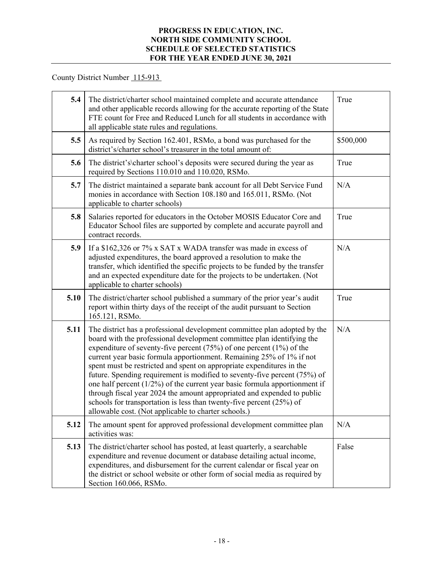County District Number 115-913

| 5.4  | The district/charter school maintained complete and accurate attendance<br>and other applicable records allowing for the accurate reporting of the State<br>FTE count for Free and Reduced Lunch for all students in accordance with<br>all applicable state rules and regulations.                                                                                                                                                                                                                                                                                                                                                                                                                                                                      | True      |
|------|----------------------------------------------------------------------------------------------------------------------------------------------------------------------------------------------------------------------------------------------------------------------------------------------------------------------------------------------------------------------------------------------------------------------------------------------------------------------------------------------------------------------------------------------------------------------------------------------------------------------------------------------------------------------------------------------------------------------------------------------------------|-----------|
| 5.5  | As required by Section 162.401, RSMo, a bond was purchased for the<br>district's/charter school's treasurer in the total amount of:                                                                                                                                                                                                                                                                                                                                                                                                                                                                                                                                                                                                                      | \$500,000 |
| 5.6  | The district's\charter school's deposits were secured during the year as<br>required by Sections 110.010 and 110.020, RSMo.                                                                                                                                                                                                                                                                                                                                                                                                                                                                                                                                                                                                                              | True      |
| 5.7  | The district maintained a separate bank account for all Debt Service Fund<br>monies in accordance with Section 108.180 and 165.011, RSMo. (Not<br>applicable to charter schools)                                                                                                                                                                                                                                                                                                                                                                                                                                                                                                                                                                         | N/A       |
| 5.8  | Salaries reported for educators in the October MOSIS Educator Core and<br>Educator School files are supported by complete and accurate payroll and<br>contract records.                                                                                                                                                                                                                                                                                                                                                                                                                                                                                                                                                                                  | True      |
| 5.9  | If a \$162,326 or 7% x SAT x WADA transfer was made in excess of<br>adjusted expenditures, the board approved a resolution to make the<br>transfer, which identified the specific projects to be funded by the transfer<br>and an expected expenditure date for the projects to be undertaken. (Not<br>applicable to charter schools)                                                                                                                                                                                                                                                                                                                                                                                                                    | N/A       |
| 5.10 | The district/charter school published a summary of the prior year's audit<br>report within thirty days of the receipt of the audit pursuant to Section<br>165.121, RSMo.                                                                                                                                                                                                                                                                                                                                                                                                                                                                                                                                                                                 | True      |
| 5.11 | The district has a professional development committee plan adopted by the<br>board with the professional development committee plan identifying the<br>expenditure of seventy-five percent $(75%)$ of one percent $(1%)$ of the<br>current year basic formula apportionment. Remaining 25% of 1% if not<br>spent must be restricted and spent on appropriate expenditures in the<br>future. Spending requirement is modified to seventy-five percent (75%) of<br>one half percent $(1/2%)$ of the current year basic formula apportionment if<br>through fiscal year 2024 the amount appropriated and expended to public<br>schools for transportation is less than twenty-five percent (25%) of<br>allowable cost. (Not applicable to charter schools.) | N/A       |
| 5.12 | The amount spent for approved professional development committee plan<br>activities was:                                                                                                                                                                                                                                                                                                                                                                                                                                                                                                                                                                                                                                                                 | N/A       |
| 5.13 | The district/charter school has posted, at least quarterly, a searchable<br>expenditure and revenue document or database detailing actual income,<br>expenditures, and disbursement for the current calendar or fiscal year on<br>the district or school website or other form of social media as required by<br>Section 160.066, RSMo.                                                                                                                                                                                                                                                                                                                                                                                                                  | False     |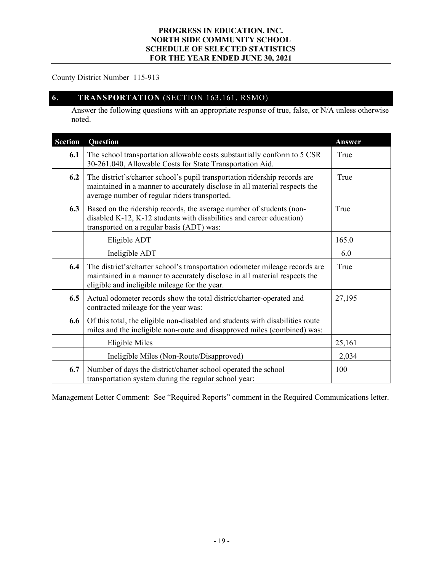# County District Number 115-913

# **6. TRANSPORTATION** (SECTION 163.161, RSMO)

Answer the following questions with an appropriate response of true, false, or N/A unless otherwise noted.

| <b>Section</b> | Question                                                                                                                                                                                                   | Answer |
|----------------|------------------------------------------------------------------------------------------------------------------------------------------------------------------------------------------------------------|--------|
| 6.1            | The school transportation allowable costs substantially conform to 5 CSR<br>30-261.040, Allowable Costs for State Transportation Aid.                                                                      | True   |
| 6.2            | The district's/charter school's pupil transportation ridership records are<br>maintained in a manner to accurately disclose in all material respects the<br>average number of regular riders transported.  | True   |
| 6.3            | Based on the ridership records, the average number of students (non-<br>disabled K-12, K-12 students with disabilities and career education)<br>transported on a regular basis (ADT) was:                  | True   |
|                | Eligible ADT                                                                                                                                                                                               | 165.0  |
|                | Ineligible ADT                                                                                                                                                                                             | 6.0    |
| 6.4            | The district's/charter school's transportation odometer mileage records are<br>maintained in a manner to accurately disclose in all material respects the<br>eligible and ineligible mileage for the year. | True   |
| 6.5            | Actual odometer records show the total district/charter-operated and<br>contracted mileage for the year was:                                                                                               | 27,195 |
| 6.6            | Of this total, the eligible non-disabled and students with disabilities route<br>miles and the ineligible non-route and disapproved miles (combined) was:                                                  |        |
|                | Eligible Miles                                                                                                                                                                                             | 25,161 |
|                | Ineligible Miles (Non-Route/Disapproved)                                                                                                                                                                   | 2,034  |
| 6.7            | Number of days the district/charter school operated the school<br>transportation system during the regular school year:                                                                                    | 100    |

Management Letter Comment: See "Required Reports" comment in the Required Communications letter.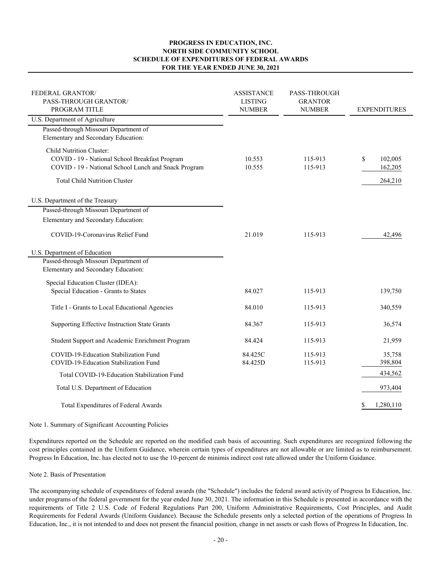#### **PROGRESS IN EDUCATION, INC. NORTH SIDE COMMUNITY SCHOOL SCHEDULE OF EXPENDITURES OF FEDERAL AWARDS FOR THE YEAR ENDED JUNE 30, 2021**

| FEDERAL GRANTOR/<br>PASS-THROUGH GRANTOR/<br>PROGRAM TITLE                                                                                                                 | <b>ASSISTANCE</b><br><b>LISTING</b><br><b>NUMBER</b> | <b>PASS-THROUGH</b><br><b>GRANTOR</b><br><b>NUMBER</b> | <b>EXPENDITURES</b>                 |  |
|----------------------------------------------------------------------------------------------------------------------------------------------------------------------------|------------------------------------------------------|--------------------------------------------------------|-------------------------------------|--|
| U.S. Department of Agriculture                                                                                                                                             |                                                      |                                                        |                                     |  |
| Passed-through Missouri Department of<br>Elementary and Secondary Education:                                                                                               |                                                      |                                                        |                                     |  |
| Child Nutrition Cluster:<br>COVID - 19 - National School Breakfast Program<br>COVID - 19 - National School Lunch and Snack Program<br><b>Total Child Nutrition Cluster</b> | 10.553<br>10.555                                     | 115-913<br>115-913                                     | \$<br>102,005<br>162,205<br>264,210 |  |
| U.S. Department of the Treasury                                                                                                                                            |                                                      |                                                        |                                     |  |
| Passed-through Missouri Department of                                                                                                                                      |                                                      |                                                        |                                     |  |
| Elementary and Secondary Education:                                                                                                                                        |                                                      |                                                        |                                     |  |
| COVID-19-Coronavirus Relief Fund                                                                                                                                           | 21.019                                               | 115-913                                                | 42,496                              |  |
| U.S. Department of Education                                                                                                                                               |                                                      |                                                        |                                     |  |
| Passed-through Missouri Department of                                                                                                                                      |                                                      |                                                        |                                     |  |
| Elementary and Secondary Education:                                                                                                                                        |                                                      |                                                        |                                     |  |
| Special Education Cluster (IDEA):                                                                                                                                          |                                                      |                                                        |                                     |  |
| Special Education - Grants to States                                                                                                                                       | 84.027                                               | 115-913                                                | 139,750                             |  |
| Title I - Grants to Local Educational Agencies                                                                                                                             | 84.010                                               | 115-913                                                | 340,559                             |  |
| Supporting Effective Instruction State Grants                                                                                                                              | 84.367                                               | 115-913                                                | 36,574                              |  |
| Student Support and Academic Enrichment Program                                                                                                                            | 84.424                                               | 115-913                                                | 21,959                              |  |
| COVID-19-Education Stabilization Fund                                                                                                                                      | 84.425C                                              | 115-913                                                | 35,758                              |  |
| COVID-19-Education Stabilization Fund                                                                                                                                      | 84.425D                                              | 115-913                                                | 398,804                             |  |
| Total COVID-19-Education Stabilization Fund                                                                                                                                |                                                      |                                                        | 434,562                             |  |
| Total U.S. Department of Education                                                                                                                                         |                                                      |                                                        | 973,404                             |  |
| Total Expenditures of Federal Awards                                                                                                                                       |                                                      |                                                        | 1,280,110<br>\$                     |  |

#### Note 1. Summary of Significant Accounting Policies

Expenditures reported on the Schedule are reported on the modified cash basis of accounting. Such expenditures are recognized following the cost principles contained in the Uniform Guidance, wherein certain types of expenditures are not allowable or are limited as to reimbursement. Progress In Education, Inc. has elected not to use the 10-percent de minimis indirect cost rate allowed under the Uniform Guidance.

#### Note 2. Basis of Presentation

The accompanying schedule of expenditures of federal awards (the "Schedule") includes the federal award activity of Progress In Education, Inc. under programs of the federal government for the year ended June 30, 2021. The information in this Schedule is presented in accordance with the requirements of Title 2 U.S. Code of Federal Regulations Part 200, Uniform Administrative Requirements, Cost Principles, and Audit Requirements for Federal Awards (Uniform Guidance). Because the Schedule presents only a selected portion of the operations of Progress In Education, Inc., it is not intended to and does not present the financial position, change in net assets or cash flows of Progress In Education, Inc.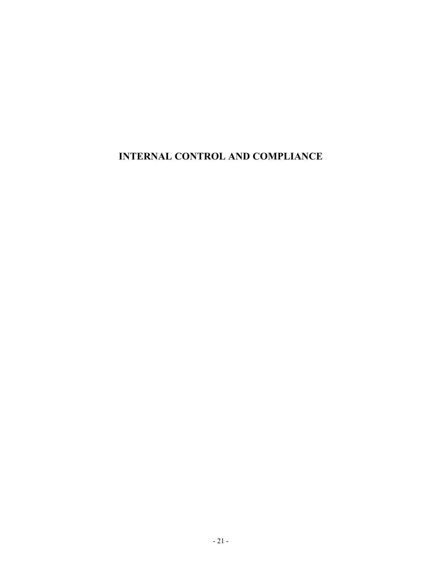**INTERNAL CONTROL AND COMPLIANCE**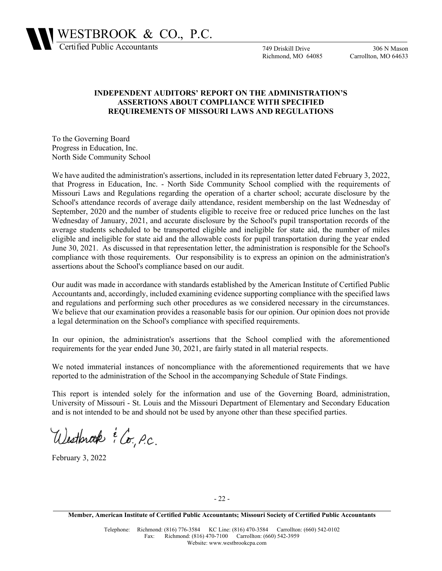

749 Driskill Drive Richmond, MO 64085

306 N Mason Carrollton, MO 64633

### **INDEPENDENT AUDITORS' REPORT ON THE ADMINISTRATION'S ASSERTIONS ABOUT COMPLIANCE WITH SPECIFIED REQUIREMENTS OF MISSOURI LAWS AND REGULATIONS**

To the Governing Board Progress in Education, Inc. North Side Community School

We have audited the administration's assertions, included in its representation letter dated February 3, 2022, that Progress in Education, Inc. - North Side Community School complied with the requirements of Missouri Laws and Regulations regarding the operation of a charter school; accurate disclosure by the School's attendance records of average daily attendance, resident membership on the last Wednesday of September, 2020 and the number of students eligible to receive free or reduced price lunches on the last Wednesday of January, 2021, and accurate disclosure by the School's pupil transportation records of the average students scheduled to be transported eligible and ineligible for state aid, the number of miles eligible and ineligible for state aid and the allowable costs for pupil transportation during the year ended June 30, 2021. As discussed in that representation letter, the administration is responsible for the School's compliance with those requirements. Our responsibility is to express an opinion on the administration's assertions about the School's compliance based on our audit.

Our audit was made in accordance with standards established by the American Institute of Certified Public Accountants and, accordingly, included examining evidence supporting compliance with the specified laws and regulations and performing such other procedures as we considered necessary in the circumstances. We believe that our examination provides a reasonable basis for our opinion. Our opinion does not provide a legal determination on the School's compliance with specified requirements.

In our opinion, the administration's assertions that the School complied with the aforementioned requirements for the year ended June 30, 2021, are fairly stated in all material respects.

We noted immaterial instances of noncompliance with the aforementioned requirements that we have reported to the administration of the School in the accompanying Schedule of State Findings.

This report is intended solely for the information and use of the Governing Board, administration, University of Missouri - St. Louis and the Missouri Department of Elementary and Secondary Education and is not intended to be and should not be used by anyone other than these specified parties.

Westbrook & Co. P.C.

February 3, 2022

**Member, American Institute of Certified Public Accountants; Missouri Society of Certified Public Accountants**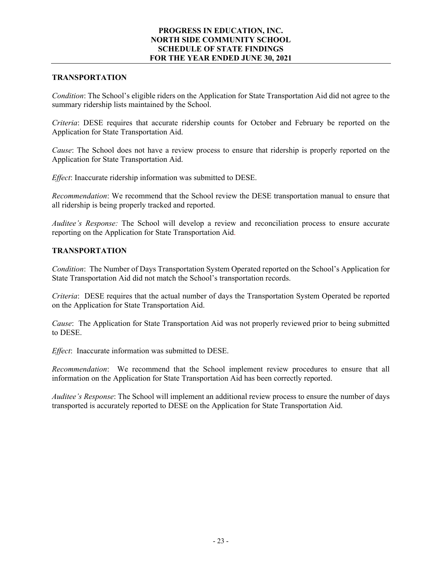# **TRANSPORTATION**

*Condition*: The School's eligible riders on the Application for State Transportation Aid did not agree to the summary ridership lists maintained by the School.

*Criteria*: DESE requires that accurate ridership counts for October and February be reported on the Application for State Transportation Aid.

*Cause*: The School does not have a review process to ensure that ridership is properly reported on the Application for State Transportation Aid.

*Effect*: Inaccurate ridership information was submitted to DESE.

*Recommendation*: We recommend that the School review the DESE transportation manual to ensure that all ridership is being properly tracked and reported.

*Auditee's Response:* The School will develop a review and reconciliation process to ensure accurate reporting on the Application for State Transportation Aid.

### **TRANSPORTATION**

*Condition*: The Number of Days Transportation System Operated reported on the School's Application for State Transportation Aid did not match the School's transportation records.

*Criteria*: DESE requires that the actual number of days the Transportation System Operated be reported on the Application for State Transportation Aid.

*Cause*: The Application for State Transportation Aid was not properly reviewed prior to being submitted to DESE.

*Effect*: Inaccurate information was submitted to DESE.

*Recommendation*: We recommend that the School implement review procedures to ensure that all information on the Application for State Transportation Aid has been correctly reported.

*Auditee's Response*: The School will implement an additional review process to ensure the number of days transported is accurately reported to DESE on the Application for State Transportation Aid.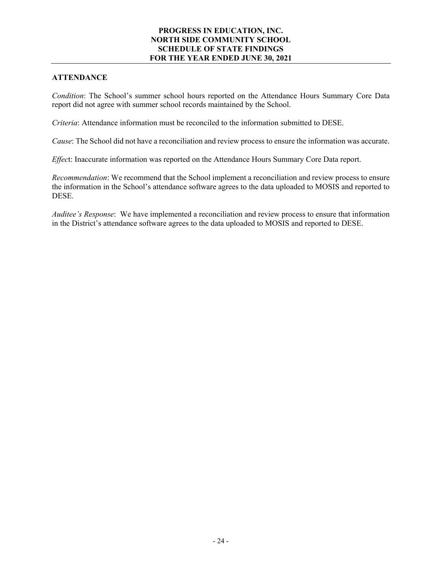# **ATTENDANCE**

*Condition*: The School's summer school hours reported on the Attendance Hours Summary Core Data report did not agree with summer school records maintained by the School.

*Criteria*: Attendance information must be reconciled to the information submitted to DESE.

*Cause*: The School did not have a reconciliation and review process to ensure the information was accurate.

*Effec*t: Inaccurate information was reported on the Attendance Hours Summary Core Data report.

*Recommendation*: We recommend that the School implement a reconciliation and review process to ensure the information in the School's attendance software agrees to the data uploaded to MOSIS and reported to DESE.

*Auditee's Response*: We have implemented a reconciliation and review process to ensure that information in the District's attendance software agrees to the data uploaded to MOSIS and reported to DESE.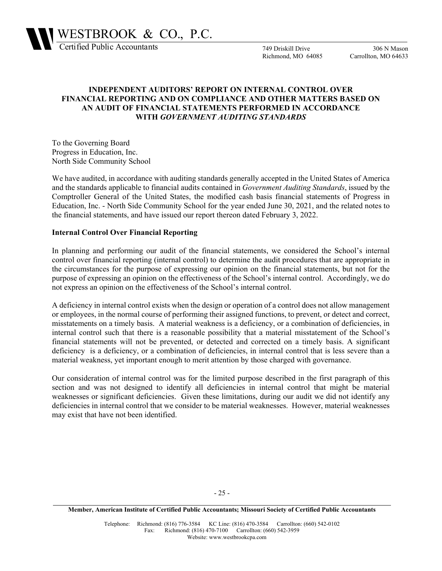

749 Driskill Drive Richmond, MO 64085

306 N Mason Carrollton, MO 64633

# **INDEPENDENT AUDITORS' REPORT ON INTERNAL CONTROL OVER FINANCIAL REPORTING AND ON COMPLIANCE AND OTHER MATTERS BASED ON AN AUDIT OF FINANCIAL STATEMENTS PERFORMED IN ACCORDANCE WITH** *GOVERNMENT AUDITING STANDARDS*

To the Governing Board Progress in Education, Inc. North Side Community School

We have audited, in accordance with auditing standards generally accepted in the United States of America and the standards applicable to financial audits contained in *Government Auditing Standards*, issued by the Comptroller General of the United States, the modified cash basis financial statements of Progress in Education, Inc. - North Side Community School for the year ended June 30, 2021, and the related notes to the financial statements, and have issued our report thereon dated February 3, 2022.

### **Internal Control Over Financial Reporting**

In planning and performing our audit of the financial statements, we considered the School's internal control over financial reporting (internal control) to determine the audit procedures that are appropriate in the circumstances for the purpose of expressing our opinion on the financial statements, but not for the purpose of expressing an opinion on the effectiveness of the School's internal control. Accordingly, we do not express an opinion on the effectiveness of the School's internal control.

A deficiency in internal control exists when the design or operation of a control does not allow management or employees, in the normal course of performing their assigned functions, to prevent, or detect and correct, misstatements on a timely basis. A material weakness is a deficiency, or a combination of deficiencies, in internal control such that there is a reasonable possibility that a material misstatement of the School's financial statements will not be prevented, or detected and corrected on a timely basis. A significant deficiency is a deficiency, or a combination of deficiencies, in internal control that is less severe than a material weakness, yet important enough to merit attention by those charged with governance.

Our consideration of internal control was for the limited purpose described in the first paragraph of this section and was not designed to identify all deficiencies in internal control that might be material weaknesses or significant deficiencies. Given these limitations, during our audit we did not identify any deficiencies in internal control that we consider to be material weaknesses. However, material weaknesses may exist that have not been identified.

**Member, American Institute of Certified Public Accountants; Missouri Society of Certified Public Accountants**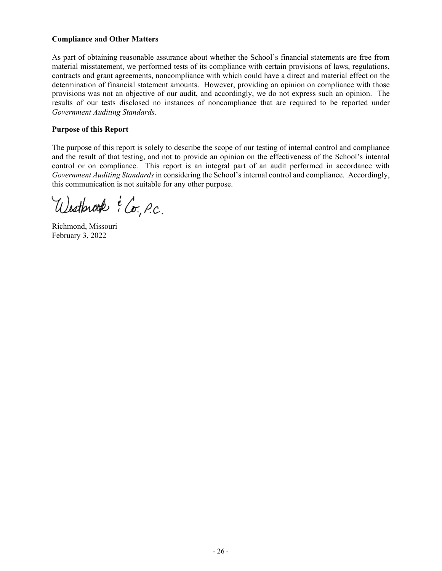### **Compliance and Other Matters**

As part of obtaining reasonable assurance about whether the School's financial statements are free from material misstatement, we performed tests of its compliance with certain provisions of laws, regulations, contracts and grant agreements, noncompliance with which could have a direct and material effect on the determination of financial statement amounts. However, providing an opinion on compliance with those provisions was not an objective of our audit, and accordingly, we do not express such an opinion. The results of our tests disclosed no instances of noncompliance that are required to be reported under *Government Auditing Standards.* 

### **Purpose of this Report**

The purpose of this report is solely to describe the scope of our testing of internal control and compliance and the result of that testing, and not to provide an opinion on the effectiveness of the School's internal control or on compliance. This report is an integral part of an audit performed in accordance with *Government Auditing Standards* in considering the School's internal control and compliance. Accordingly, this communication is not suitable for any other purpose.

Westbrook : Co. P.C.

Richmond, Missouri February 3, 2022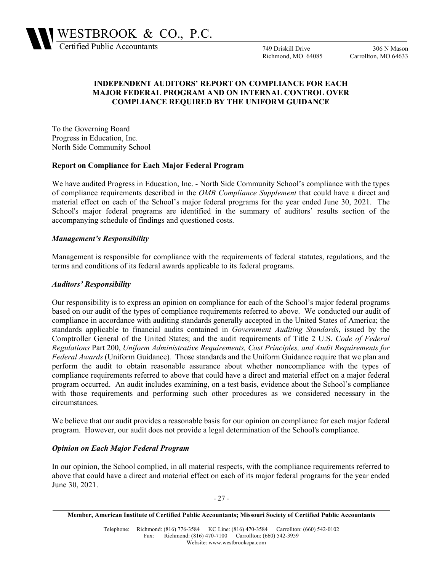

749 Driskill Drive Richmond, MO 64085

306 N Mason Carrollton, MO 64633

# **INDEPENDENT AUDITORS' REPORT ON COMPLIANCE FOR EACH MAJOR FEDERAL PROGRAM AND ON INTERNAL CONTROL OVER COMPLIANCE REQUIRED BY THE UNIFORM GUIDANCE**

To the Governing Board Progress in Education, Inc. North Side Community School

#### **Report on Compliance for Each Major Federal Program**

We have audited Progress in Education, Inc. - North Side Community School's compliance with the types of compliance requirements described in the *OMB Compliance Supplement* that could have a direct and material effect on each of the School's major federal programs for the year ended June 30, 2021. The School's major federal programs are identified in the summary of auditors' results section of the accompanying schedule of findings and questioned costs.

### *Management's Responsibility*

Management is responsible for compliance with the requirements of federal statutes, regulations, and the terms and conditions of its federal awards applicable to its federal programs.

### *Auditors' Responsibility*

Our responsibility is to express an opinion on compliance for each of the School's major federal programs based on our audit of the types of compliance requirements referred to above. We conducted our audit of compliance in accordance with auditing standards generally accepted in the United States of America; the standards applicable to financial audits contained in *Government Auditing Standards*, issued by the Comptroller General of the United States; and the audit requirements of Title 2 U.S. *Code of Federal Regulations* Part 200, *Uniform Administrative Requirements, Cost Principles, and Audit Requirements for Federal Awards* (Uniform Guidance)*.* Those standards and the Uniform Guidance require that we plan and perform the audit to obtain reasonable assurance about whether noncompliance with the types of compliance requirements referred to above that could have a direct and material effect on a major federal program occurred. An audit includes examining, on a test basis, evidence about the School's compliance with those requirements and performing such other procedures as we considered necessary in the circumstances.

We believe that our audit provides a reasonable basis for our opinion on compliance for each major federal program. However, our audit does not provide a legal determination of the School's compliance.

### *Opinion on Each Major Federal Program*

In our opinion, the School complied, in all material respects, with the compliance requirements referred to above that could have a direct and material effect on each of its major federal programs for the year ended June 30, 2021.

- 27 -

**Member, American Institute of Certified Public Accountants; Missouri Society of Certified Public Accountants**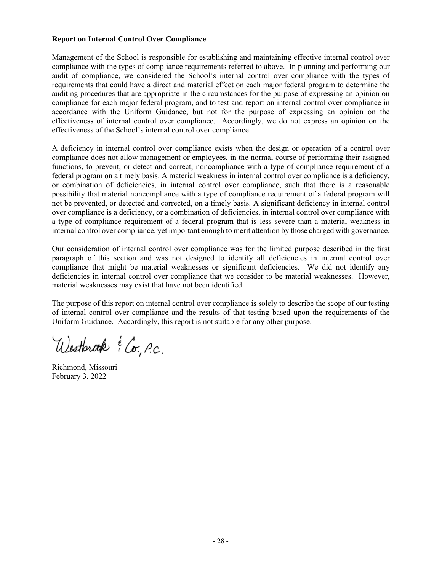### **Report on Internal Control Over Compliance**

Management of the School is responsible for establishing and maintaining effective internal control over compliance with the types of compliance requirements referred to above. In planning and performing our audit of compliance, we considered the School's internal control over compliance with the types of requirements that could have a direct and material effect on each major federal program to determine the auditing procedures that are appropriate in the circumstances for the purpose of expressing an opinion on compliance for each major federal program, and to test and report on internal control over compliance in accordance with the Uniform Guidance, but not for the purpose of expressing an opinion on the effectiveness of internal control over compliance. Accordingly, we do not express an opinion on the effectiveness of the School's internal control over compliance.

A deficiency in internal control over compliance exists when the design or operation of a control over compliance does not allow management or employees, in the normal course of performing their assigned functions, to prevent, or detect and correct, noncompliance with a type of compliance requirement of a federal program on a timely basis. A material weakness in internal control over compliance is a deficiency, or combination of deficiencies, in internal control over compliance, such that there is a reasonable possibility that material noncompliance with a type of compliance requirement of a federal program will not be prevented, or detected and corrected, on a timely basis. A significant deficiency in internal control over compliance is a deficiency, or a combination of deficiencies, in internal control over compliance with a type of compliance requirement of a federal program that is less severe than a material weakness in internal control over compliance, yet important enough to merit attention by those charged with governance.

Our consideration of internal control over compliance was for the limited purpose described in the first paragraph of this section and was not designed to identify all deficiencies in internal control over compliance that might be material weaknesses or significant deficiencies. We did not identify any deficiencies in internal control over compliance that we consider to be material weaknesses. However, material weaknesses may exist that have not been identified.

The purpose of this report on internal control over compliance is solely to describe the scope of our testing of internal control over compliance and the results of that testing based upon the requirements of the Uniform Guidance. Accordingly, this report is not suitable for any other purpose.

Westbrook : Co. P.C.

Richmond, Missouri February 3, 2022